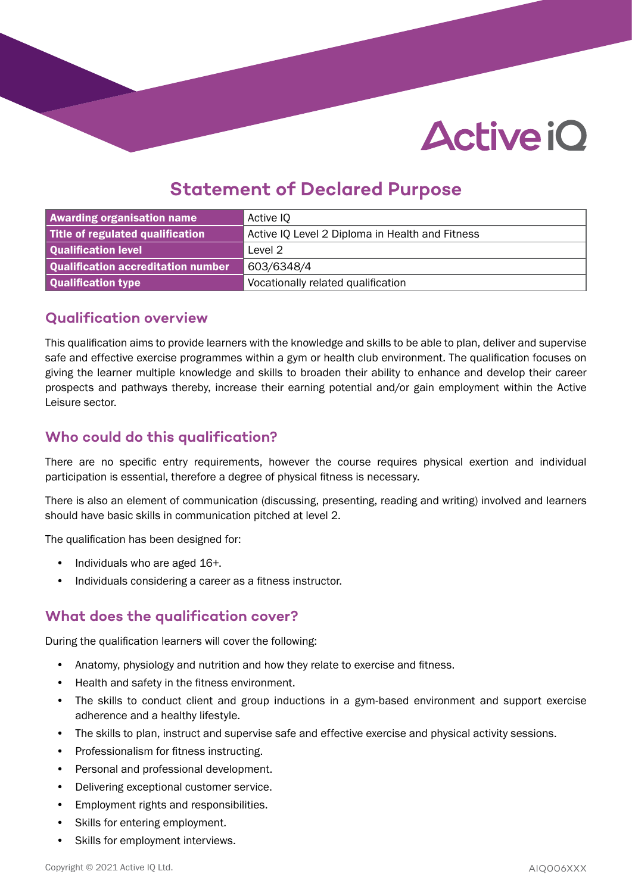# **Active iO**

### **Statement of Declared Purpose**

| <b>Awarding organisation name</b>  | Active IQ                                       |
|------------------------------------|-------------------------------------------------|
| Title of regulated qualification   | Active IQ Level 2 Diploma in Health and Fitness |
| Qualification level                | Level 2                                         |
| Qualification accreditation number | 603/6348/4                                      |
| Qualification type                 | Vocationally related qualification              |

#### **Qualification overview**

This qualification aims to provide learners with the knowledge and skills to be able to plan, deliver and supervise safe and effective exercise programmes within a gym or health club environment. The qualification focuses on giving the learner multiple knowledge and skills to broaden their ability to enhance and develop their career prospects and pathways thereby, increase their earning potential and/or gain employment within the Active Leisure sector.

#### **Who could do this qualification?**

There are no specific entry requirements, however the course requires physical exertion and individual participation is essential, therefore a degree of physical fitness is necessary.

There is also an element of communication (discussing, presenting, reading and writing) involved and learners should have basic skills in communication pitched at level 2.

The qualification has been designed for:

- Individuals who are aged 16+.
- Individuals considering a career as a fitness instructor.

#### **What does the qualification cover?**

During the qualification learners will cover the following:

- Anatomy, physiology and nutrition and how they relate to exercise and fitness.
- Health and safety in the fitness environment.
- The skills to conduct client and group inductions in a gym-based environment and support exercise adherence and a healthy lifestyle.
- The skills to plan, instruct and supervise safe and effective exercise and physical activity sessions.
- Professionalism for fitness instructing.
- Personal and professional development.
- Delivering exceptional customer service.
- Employment rights and responsibilities.
- Skills for entering employment.
- Skills for employment interviews.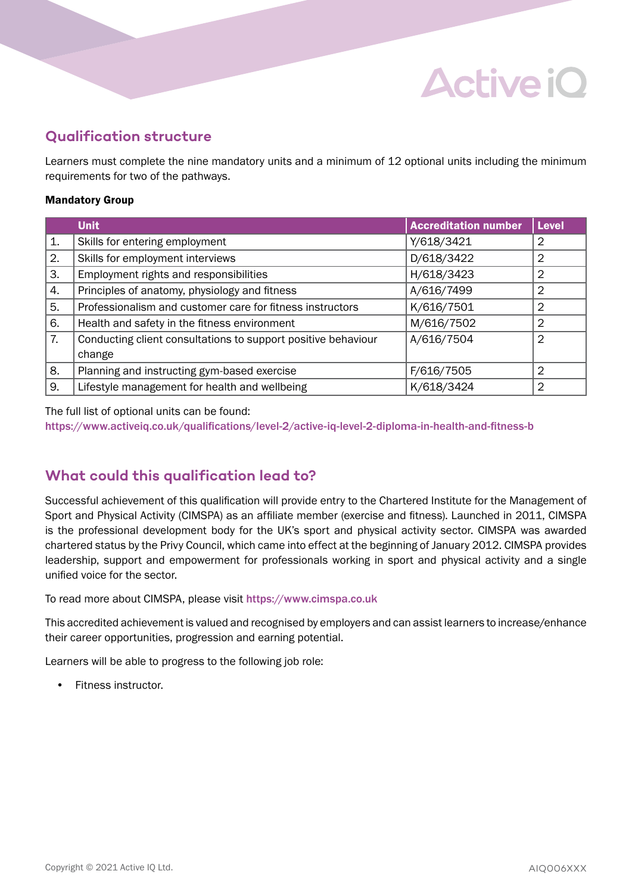### **Qualification structure**

Learners must complete the nine mandatory units and a minimum of 12 optional units including the minimum requirements for two of the pathways.

**Active iO** 

#### Mandatory Group

|    | <b>Unit</b>                                                   | <b>Accreditation number</b> | <b>Level</b>   |
|----|---------------------------------------------------------------|-----------------------------|----------------|
| 1. | Skills for entering employment                                | Y/618/3421                  | 2              |
| 2. | Skills for employment interviews                              | D/618/3422                  | 2              |
| 3. | Employment rights and responsibilities                        | H/618/3423                  | $\overline{2}$ |
| 4. | Principles of anatomy, physiology and fitness                 | A/616/7499                  | 2              |
| 5. | Professionalism and customer care for fitness instructors     | K/616/7501                  | 2              |
| 6. | Health and safety in the fitness environment                  | M/616/7502                  | 2              |
| 7. | Conducting client consultations to support positive behaviour | A/616/7504                  | 2              |
|    | change                                                        |                             |                |
| 8. | Planning and instructing gym-based exercise                   | F/616/7505                  | 2              |
| 9. | Lifestyle management for health and wellbeing                 | K/618/3424                  | 2              |

The full list of optional units can be found:

[https://www.activeiq.co.uk/qualifications/level-2/active-iq-level-2-diploma-in-health-and-fitness-b](https://www.activeiq.co.uk/qualifications/level-2/active-iq-level-2-diploma-in-health-and-fitness-b ) 

#### **What could this qualification lead to?**

Successful achievement of this qualification will provide entry to the Chartered Institute for the Management of Sport and Physical Activity (CIMSPA) as an affiliate member (exercise and fitness). Launched in 2011, CIMSPA is the professional development body for the UK's sport and physical activity sector. CIMSPA was awarded chartered status by the Privy Council, which came into effect at the beginning of January 2012. CIMSPA provides leadership, support and empowerment for professionals working in sport and physical activity and a single unified voice for the sector.

To read more about CIMSPA, please visit <https://www.cimspa.co.uk>

This accredited achievement is valued and recognised by employers and can assist learners to increase/enhance their career opportunities, progression and earning potential.

Learners will be able to progress to the following job role:

• Fitness instructor.